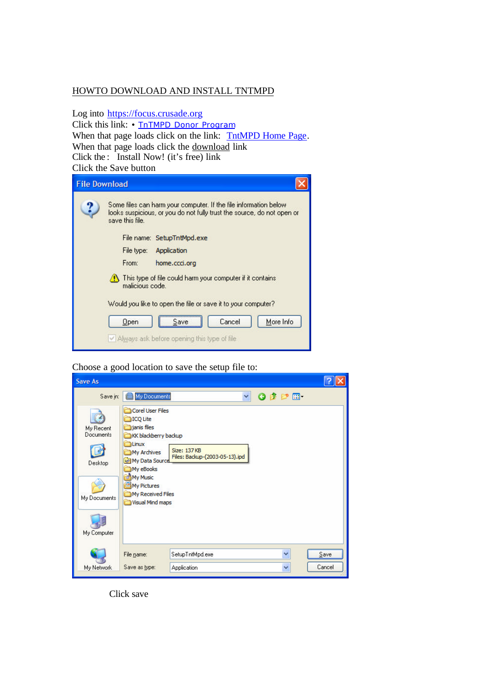#### HOWTO DOWNLOAD AND INSTALL TNTMPD

Log into https://focus.crusade.org

Click this link: • TnTMPD Donor Program When that page loads click on the link: TntMPD Home Page. When that page loads click the download link Click the : Install Now! (it's free) link Click the Save button



#### Choose a good location to save the setup file to:

| <b>Save As</b>                                                   |                                                                                                                                                                                                            |                                                      |                 |   |        |
|------------------------------------------------------------------|------------------------------------------------------------------------------------------------------------------------------------------------------------------------------------------------------------|------------------------------------------------------|-----------------|---|--------|
| Save in:                                                         | My Documents                                                                                                                                                                                               | ×                                                    | $O$ $D$ $P$ $P$ |   |        |
| My Recent<br>Documents<br>Desktop<br>My Documents<br>My Computer | Corel User Files<br>ICQ Lite<br>ianis files<br>KK blackberry backup<br>Linux<br>My Archives<br><b>Hall My Data Source</b><br>My eBooks<br>My Music<br>My Pictures<br>My Received Files<br>Visual Mind maps | <b>Size: 137KB</b><br>Files: Backup-(2003-05-13).ipd |                 |   |        |
|                                                                  |                                                                                                                                                                                                            | SetupTntMpd.exe                                      |                 | ٧ | Save   |
|                                                                  | File name:                                                                                                                                                                                                 |                                                      |                 |   |        |
| My Network                                                       | Save as type:                                                                                                                                                                                              | Application                                          |                 | Ÿ | Cancel |

Click save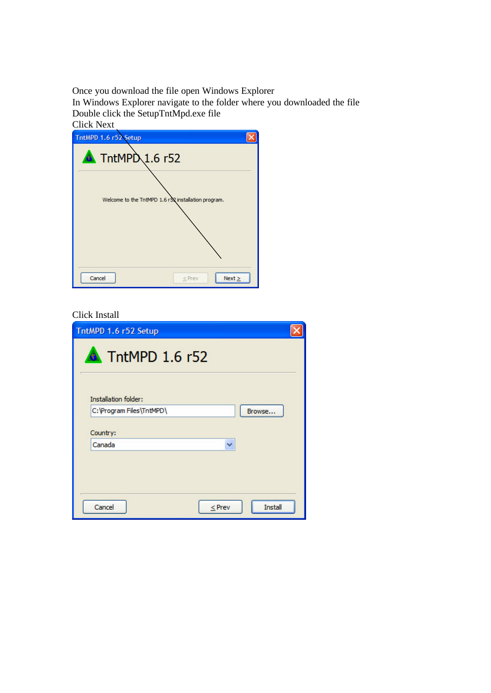Once you download the file open Windows Explorer In Windows Explorer navigate to the folder where you downloaded the file Double click the SetupTntMpd.exe file

| <b>Click Next</b>                                   |
|-----------------------------------------------------|
| TntMPD 1.6 r52 Setup                                |
| $\triangle$ TntMPD 1.6 r52                          |
| Welcome to the TntMPD 1.6 r52 installation program. |
| Cancel<br>$Next \geq$<br>$<$ Prev                   |

### Click Install

| TntMPD 1.6 r52 Setup        |                |
|-----------------------------|----------------|
| ThtMPD 1.6 r52              |                |
| <b>Installation folder:</b> |                |
| C: \Program Files\TntMPD\   | Browse         |
| Country:                    |                |
| Canada<br>×                 |                |
|                             |                |
|                             |                |
| Cancel<br>$<$ Prev          | <b>Install</b> |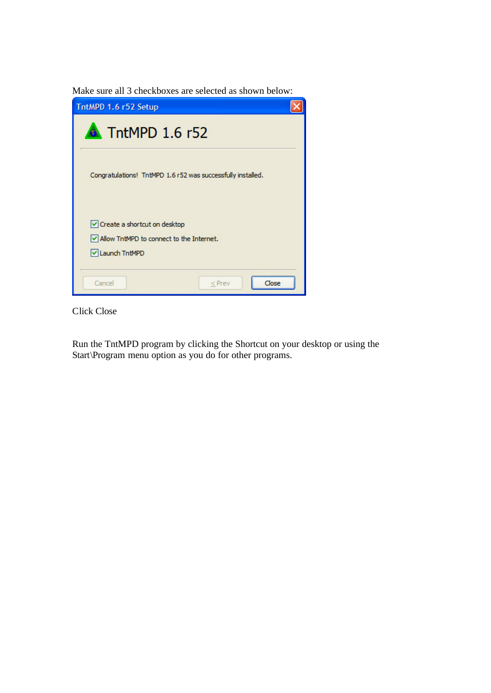Make sure all 3 checkboxes are selected as shown below:

| TntMPD 1.6 r52 Setup                                                                         |  |
|----------------------------------------------------------------------------------------------|--|
| $\bullet$ TntMPD 1.6 r52                                                                     |  |
| Congratulations! TntMPD 1.6 r52 was successfully installed.                                  |  |
| Create a shortcut on desktop<br>IV Allow TntMPD to connect to the Internet.<br>Launch TntMPD |  |
| Close<br>Cancel<br>$<$ Prev                                                                  |  |

Click Close

Run the TntMPD program by clicking the Shortcut on your desktop or using the Start\Program menu option as you do for other programs.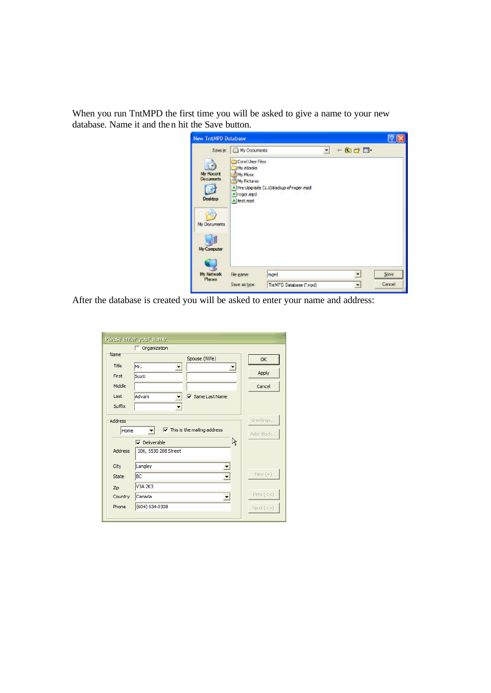When you run TntMPD the first time you will be asked to give a name to your new database. Name it and then hit the Save button.

| <b>New TritMPD Database</b>                                                    |                                                                                                                       |                                       |           |                          |                |
|--------------------------------------------------------------------------------|-----------------------------------------------------------------------------------------------------------------------|---------------------------------------|-----------|--------------------------|----------------|
| <b>My Recent</b><br><b>Documents</b><br>Decktop<br>My Documents<br>My Computer | Save in: <b>B</b> My Documents<br>Corel User Files<br>My eBooks<br>My Music<br>My Pictures<br>roger mpd<br>A test.mpd | Pre-Upgrade (1.5) Backup of roger mpd | $\bullet$ | 白香日<br>÷                 |                |
| <b>Ny Notwork</b><br>Places                                                    | File name:<br>Save as type:                                                                                           | roger<br>TritMPD Database (".mpd)     |           | $\overline{\phantom{a}}$ | Save<br>Cancel |

After the database is created you will be asked to enter your name and address:

|                        | Please enter your name.              |            |
|------------------------|--------------------------------------|------------|
|                        | $\Box$ Organization                  |            |
| Name <sup>®</sup>      | Spouse (Wife)                        | OK         |
| Title                  | Mr.                                  |            |
| First                  | Scott                                | Apply      |
| Middle                 |                                      | Cancel     |
| Last                   | Advani<br>$\nabla$ Same Last Name    |            |
| Suffix                 | $\blacktriangledown$                 |            |
| <b>Address</b><br>Home |                                      | Greetings  |
|                        | $\nabla$ This is the mailing address | Addr Block |
|                        | R<br>Deliverable                     |            |
| <b>Address</b>         | 206, 5530 208 Street                 |            |
| City                   | Langley<br>≛                         |            |
| State                  | ВC<br>$\blacktriangledown$           | New $(+)$  |
| Zip                    | <b>V3A 2K3</b>                       |            |
| Country                | Canada                               | Prev $(<)$ |
| Phone                  | (604) 534-0308                       | Next (>>)  |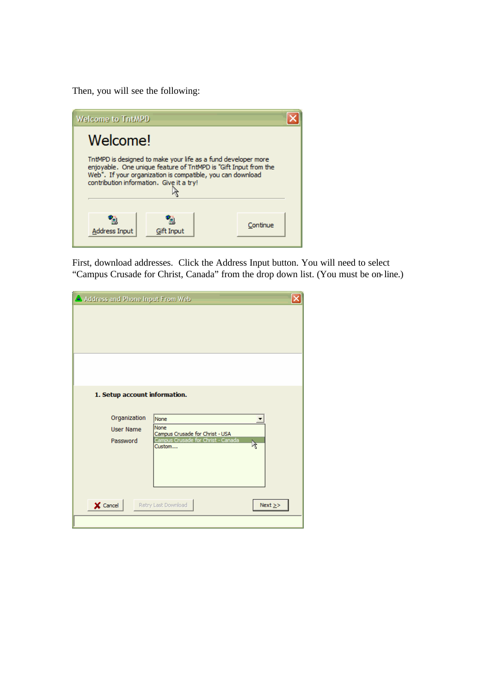Then, you will see the following:



First, download addresses. Click the Address Input button. You will need to select "Campus Crusade for Christ, Canada" from the drop down list. (You must be on-line.)

| Address and Phone Input From Web |                                                |              |
|----------------------------------|------------------------------------------------|--------------|
|                                  |                                                |              |
|                                  |                                                |              |
|                                  |                                                |              |
|                                  |                                                |              |
|                                  |                                                |              |
| 1. Setup account information.    |                                                |              |
| Organization                     | None                                           |              |
| <b>User Name</b>                 | <b>None</b><br>Campus Crusade for Christ - USA |              |
| Password                         | Campus Crusade for Christ - Canada<br>Custom   | ß            |
|                                  |                                                |              |
|                                  |                                                |              |
|                                  |                                                |              |
| $\times$ Cancel                  | Retry Last Download                            | Next $\ge$ > |
|                                  |                                                |              |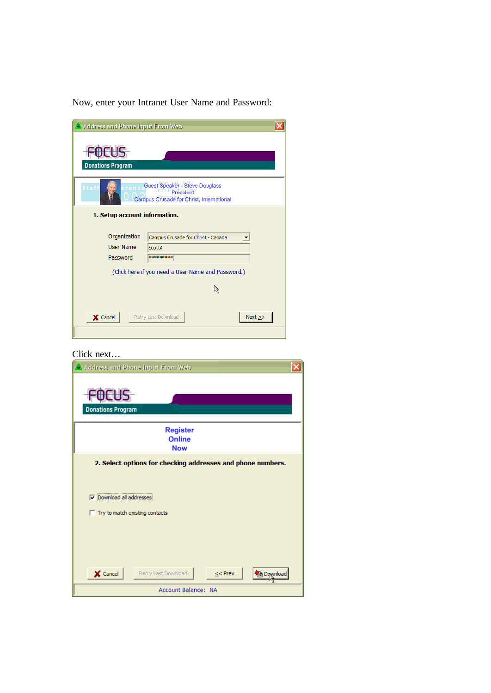Now, enter your Intranet User Name and Password:

| Address and Phone Input From Web |                                                                                         |
|----------------------------------|-----------------------------------------------------------------------------------------|
| <b>Donations Program</b>         |                                                                                         |
| $S$ taf                          | Guest Speaker - Steve Douglass<br>President<br>Campus Crusade for Christ, International |
| 1. Setup account information.    |                                                                                         |
| Organization                     | Campus Crusade for Christ - Canada                                                      |
| <b>User Name</b>                 | <b>ScottA</b>                                                                           |
| Password                         | *********                                                                               |
|                                  | (Click here if you need a User Name and Password.)                                      |
|                                  | R                                                                                       |
|                                  |                                                                                         |
| X Cancel                         | Next $\ge$ ><br>Retry Last Download                                                     |
|                                  |                                                                                         |

# Click next...

| Address and Phone Input From Web                                           |
|----------------------------------------------------------------------------|
| <b>Donations Program</b>                                                   |
| <b>Register</b><br><b>Online</b><br><b>Now</b>                             |
| 2. Select options for checking addresses and phone numbers.                |
| Download all addresses<br>⊽<br>$\Box$ Try to match existing contacts       |
| $\times$ Cancel<br>Retry Last Download<br>$\leq$ Prev<br><b>A Download</b> |
| Account Balance: NA                                                        |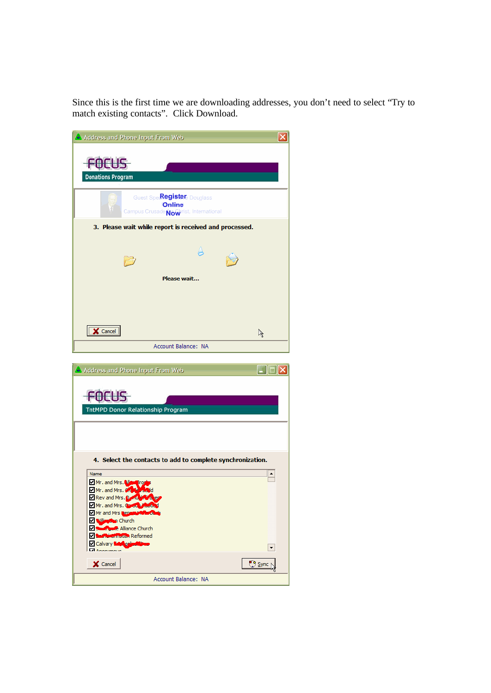Since this is the first time we are downloading addresses, you don't need to select "Try to match existing contacts". Click Download.

| Address and Phone Input From Web                                                                                                                                                                                                                                                                                                                                      | ×                      |
|-----------------------------------------------------------------------------------------------------------------------------------------------------------------------------------------------------------------------------------------------------------------------------------------------------------------------------------------------------------------------|------------------------|
| <b>FOCUS</b><br><b>Donations Program</b>                                                                                                                                                                                                                                                                                                                              |                        |
| Guest Spec <b>Register</b> Douglass<br><b>Online</b><br>Campus Crusade Nowhrist, International                                                                                                                                                                                                                                                                        |                        |
| 3. Please wait while report is received and processed.                                                                                                                                                                                                                                                                                                                |                        |
| Please wait                                                                                                                                                                                                                                                                                                                                                           |                        |
| $\overline{\mathbf{X}}$ Cancel                                                                                                                                                                                                                                                                                                                                        | $\mathscr{L}$          |
| Account Balance: NA                                                                                                                                                                                                                                                                                                                                                   |                        |
|                                                                                                                                                                                                                                                                                                                                                                       |                        |
| Address and Phone Input From Web                                                                                                                                                                                                                                                                                                                                      | $\Box$ $\Box$ $\times$ |
| :OCUS<br>TntMPD Donor Relationship Program                                                                                                                                                                                                                                                                                                                            |                        |
|                                                                                                                                                                                                                                                                                                                                                                       |                        |
| 4. Select the contacts to add to complete synchronization.<br>Name<br>Mr. and Mrs. No. 1004<br>Mr. and Mrs. 8.14 Mayd<br>Rev and Mrs. Dender & ex-<br>Mr. and Mrs. Control Resolutions<br>Mr and Mrs <b>Leoning Mrs</b> of<br>Church<br><b>Manufacture</b> Alliance Church<br><b>Z Saif Mistrin Stan Reformed</b><br>Calvary <b>Lay calinthane</b><br><b>MARGARET</b> | ۰<br>۰                 |
| X Cancel<br>Account Balance: NA                                                                                                                                                                                                                                                                                                                                       | <b>Sync</b>            |
|                                                                                                                                                                                                                                                                                                                                                                       |                        |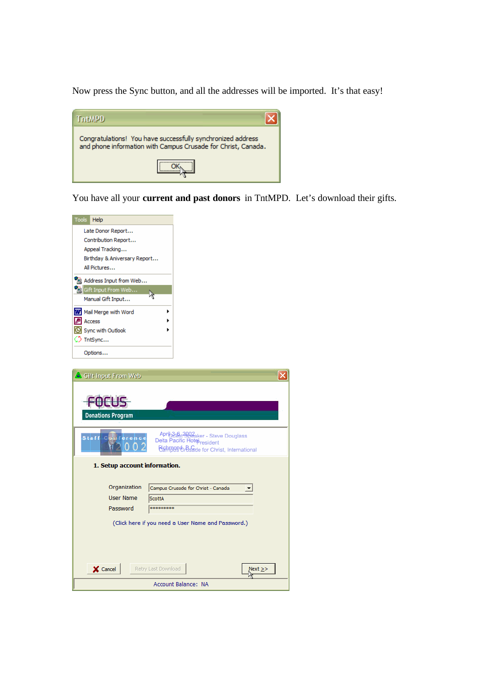Now press the Sync button, and all the addresses will be imported. It's that easy!

| TritMPD                                                                                                                      |
|------------------------------------------------------------------------------------------------------------------------------|
| Congratulations! You have successfully synchronized address<br>and phone information with Campus Crusade for Christ, Canada. |
|                                                                                                                              |

You have all your **current and past donors** in TntMPD. Let's download their gifts.

| Tools<br>Help                                                                                                         |
|-----------------------------------------------------------------------------------------------------------------------|
| Late Donor Report                                                                                                     |
| Contribution Report                                                                                                   |
| Appeal Tracking                                                                                                       |
| Birthday & Aniversary Report                                                                                          |
| All Pictures                                                                                                          |
| Address Input from Web                                                                                                |
| Gift Input From Web<br>B                                                                                              |
| Manual Gift Input                                                                                                     |
| W Mail Merge with Word                                                                                                |
| Access                                                                                                                |
| Sync with Outlook                                                                                                     |
| D TntSync                                                                                                             |
| Options                                                                                                               |
|                                                                                                                       |
| <b>Donations Program</b><br>April 3-8, 2902 aker - Steve Douglass<br>Delta Pacific Hotel resident<br>Staff Conference |
| Bighmoge & Beade for Christ, International                                                                            |
| 1. Setup account information.                                                                                         |
| Organization<br>Campus Crusade for Christ - Canada<br>▼                                                               |
| <b>User Name</b><br><b>ScottA</b>                                                                                     |
| Password<br>*********                                                                                                 |
|                                                                                                                       |
| (Click here if you need a User Name and Password.)                                                                    |
|                                                                                                                       |
|                                                                                                                       |
| X Cancel<br>Retry Last Download<br>$Next \geq$                                                                        |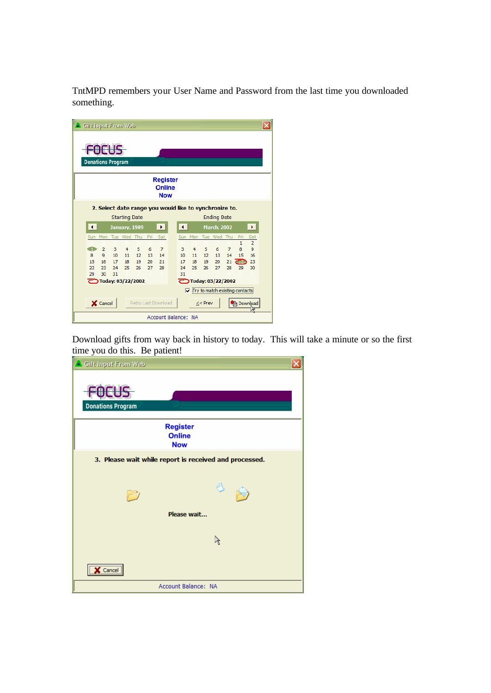TntMPD remembers your User Name and Password from the last time you downloaded something.

|                                                                      |     |    | Gift Input From Web        |    |     |                                  |                        |     |    |                            |    |                   |                     |  |
|----------------------------------------------------------------------|-----|----|----------------------------|----|-----|----------------------------------|------------------------|-----|----|----------------------------|----|-------------------|---------------------|--|
|                                                                      |     |    |                            |    |     |                                  |                        |     |    |                            |    |                   |                     |  |
| <b>Donations Program</b>                                             |     |    |                            |    |     |                                  |                        |     |    |                            |    |                   |                     |  |
|                                                                      |     |    |                            |    |     | <b>Register</b><br><b>Online</b> |                        |     |    |                            |    |                   |                     |  |
| <b>Now</b><br>2. Select date range you would like to synchronize to. |     |    |                            |    |     |                                  |                        |     |    |                            |    |                   |                     |  |
|                                                                      |     |    | <b>Starting Date</b>       |    |     |                                  |                        |     |    | <b>Ending Date</b>         |    |                   |                     |  |
| О                                                                    |     |    | January, 1989              |    |     | $\rightarrow$                    | $\left  \cdot \right $ |     |    | <b>March, 2002</b>         |    |                   | $\rightarrow$       |  |
| Sun                                                                  | Mon |    | Tue Wed Thu                |    | Fri | Sat                              | Sun                    | Mon |    | Tue Wed Thu                |    | Fri               | Sat                 |  |
| $\mathbf{1}$                                                         | 2   | 3  | 4                          | 5  | 6   | $\overline{7}$                   | 3                      | 4   | 5  | 6                          | 7  | $\mathbf{1}$<br>8 | $\overline{2}$<br>9 |  |
| $\mathbf{R}$                                                         | 9   | 10 | 11                         | 12 | 13  | 14                               | 10 <sup>10</sup>       | 11  | 12 | 13                         | 14 | 15                | 16                  |  |
| 15                                                                   | 16  | 17 | 18                         | 19 | 20  | 21                               | 17                     | 18  | 19 | 20                         | 21 |                   | 23                  |  |
| 22                                                                   | 23  | 24 | 25                         | 26 | 27  | 28                               | 24                     | 25  | 26 | 27                         | 28 | 29                | 30                  |  |
| 29                                                                   | 30  | 31 |                            |    |     |                                  | 31                     |     |    |                            |    |                   |                     |  |
|                                                                      |     |    | <b>こつToday: 03/22/2002</b> |    |     |                                  |                        |     |    | <b>こつToday: 03/22/2002</b> |    |                   |                     |  |
| Try to match existing contacts<br>⊽                                  |     |    |                            |    |     |                                  |                        |     |    |                            |    |                   |                     |  |
| X Cancel<br>Retry Last Download<br>$<<$ Prev<br><b>Ra</b> Download   |     |    |                            |    |     |                                  |                        |     |    |                            |    |                   |                     |  |
| Account Balance: NA                                                  |     |    |                            |    |     |                                  |                        |     |    |                            |    |                   |                     |  |

Download gifts from way back in history to today. This will take a minute or so the first time you do this. Be patient!

| Gift Input From Web      |                                                        |
|--------------------------|--------------------------------------------------------|
| <b>Donations Program</b> |                                                        |
|                          | <b>Register</b><br><b>Online</b><br><b>Now</b>         |
|                          | 3. Please wait while report is received and processed. |
|                          | $\bigotimes$                                           |
|                          | Please wait                                            |
|                          |                                                        |
| Cancel                   |                                                        |
|                          | Account Balance: NA                                    |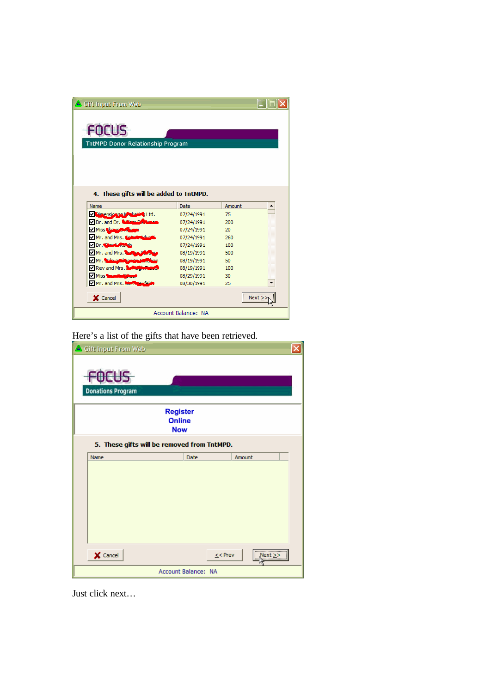| Gift Input From Web<br>TntMPD Donor Relationship Program |                            |        |           |
|----------------------------------------------------------|----------------------------|--------|-----------|
| 4. These gifts will be added to TntMPD.<br>Name          | Date                       | Amount |           |
| V Pirrensionne Marketine Ltd.                            | 07/24/1991                 | 75     |           |
| Dr. and Dr. Witnes Dr.                                   | 07/24/1991                 | 200    |           |
| V Miss Changer                                           | 07/24/1991                 | 20     |           |
| Mr. and Mrs. Le                                          | 07/24/1991                 | 260    |           |
| Dr. That when the                                        | 07/24/1991                 | 100    |           |
| Mr. and Mrs. Total                                       | 08/19/1991                 | 500    |           |
| Mr. Department                                           | 08/19/1991                 | 50     |           |
| Rev and Mrs.                                             | 08/19/1991                 | 100    |           |
| <b>V</b> Miss <b>Small</b>                               | 08/29/1991                 | 30     |           |
| Mr. and Mrs. Clerk Bushels                               | 08/30/1991                 | 25     | ▼         |
| X Cancel                                                 |                            |        | <br>Next: |
|                                                          | <b>Account Balance: NA</b> |        |           |

Here's a list of the gifts that have been retrieved.

| Gift Input From Web                            |                                |  |  |  |  |
|------------------------------------------------|--------------------------------|--|--|--|--|
| <b>Donations Program</b>                       |                                |  |  |  |  |
| <b>Register</b><br><b>Online</b><br><b>Now</b> |                                |  |  |  |  |
| 5. These gifts will be removed from TntMPD.    |                                |  |  |  |  |
| Name                                           | Date<br>Amount                 |  |  |  |  |
|                                                |                                |  |  |  |  |
| $\times$ Cancel                                | <br>$\le$ < Prev<br>$Next \ge$ |  |  |  |  |
| Account Balance: NA                            |                                |  |  |  |  |

Just click next…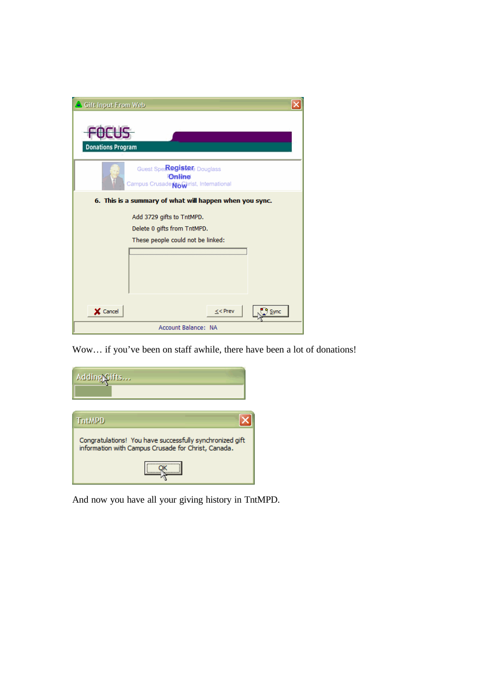| Gift Input From Web                                                            |  |  |  |  |  |
|--------------------------------------------------------------------------------|--|--|--|--|--|
| <b>Donations Program</b>                                                       |  |  |  |  |  |
| Guest Speckegiste Douglass<br>Online<br>Campus Crusade Nowhrist, International |  |  |  |  |  |
| 6. This is a summary of what will happen when you sync.                        |  |  |  |  |  |
| Add 3729 gifts to TntMPD.                                                      |  |  |  |  |  |
| Delete 0 gifts from TntMPD.                                                    |  |  |  |  |  |
| These people could not be linked:                                              |  |  |  |  |  |
|                                                                                |  |  |  |  |  |
|                                                                                |  |  |  |  |  |
|                                                                                |  |  |  |  |  |
|                                                                                |  |  |  |  |  |
|                                                                                |  |  |  |  |  |
| X Cancel<br>$<<$ Prev<br>Sync                                                  |  |  |  |  |  |
| Account Balance: NA                                                            |  |  |  |  |  |

Wow… if you've been on staff awhile, there have been a lot of donations!

| Adding Gifts                                                                                                    |
|-----------------------------------------------------------------------------------------------------------------|
| <b>TritMPD</b>                                                                                                  |
| Congratulations! You have successfully synchronized gift<br>information with Campus Crusade for Christ, Canada. |
|                                                                                                                 |

And now you have all your giving history in TntMPD.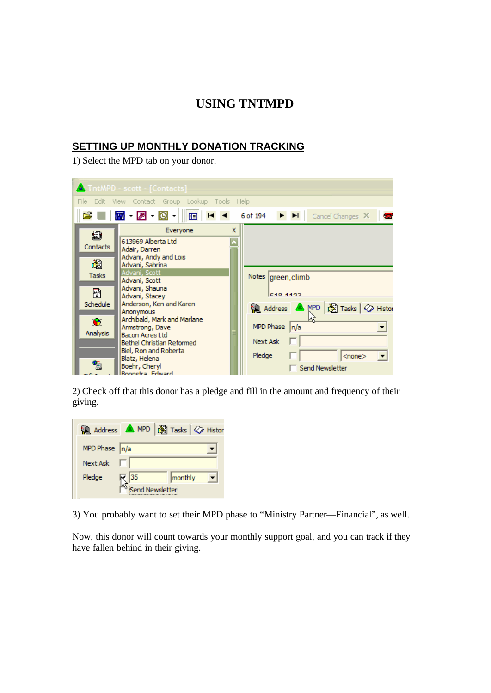# **USING TNTMPD**

## **SETTING UP MONTHLY DONATION TRACKING**

1) Select the MPD tab on your donor.

| TntMPD - scott - [Contacts]                          |                                                                                                       |                                                       |  |  |  |  |  |
|------------------------------------------------------|-------------------------------------------------------------------------------------------------------|-------------------------------------------------------|--|--|--|--|--|
| File<br>Edit View Contact Group Lookup Tools<br>Help |                                                                                                       |                                                       |  |  |  |  |  |
| Ê                                                    | $\blacksquare$ - 2 - 0 - 1<br>$H = 4$<br>画                                                            | 6 of 194<br>E EI<br>Cancel Changes $\mathsf{X}$<br>G. |  |  |  |  |  |
| 9<br>Contacts                                        | X<br>Everyone<br>613969 Alberta Ltd<br>Adair, Darren<br>Advani, Andy and Lois                         |                                                       |  |  |  |  |  |
| 圖<br>Tasks                                           | Advani, Sabrina<br>Advani, Scott<br>Advani, Scott                                                     | Notes green, climb                                    |  |  |  |  |  |
| 剛<br>Schedule                                        | Advani, Shauna<br>Advani, Stacey<br>Anderson, Ken and Karen<br>Anonymous                              | <b>C40 4499</b><br>Address ▲ MPD   图 Tasks   ◇ Histor |  |  |  |  |  |
| $\mathbf{\Omega}$<br>Analysis                        | Archibald, Mark and Marlane<br>Armstrong, Dave<br><b>Bacon Acres Ltd</b><br>Bethel Christian Reformed | MPD Phase $ n/a$<br><b>Next Ask</b>                   |  |  |  |  |  |
|                                                      | Biel, Ron and Roberta<br>Blatz, Helena<br>Boehr, Cheryl<br><b>Boonstra Edward</b>                     | Pledge<br>$<$ none $>$<br>Send Newsletter             |  |  |  |  |  |

2) Check off that this donor has a pledge and fill in the amount and frequency of their giving.

|                  | Address A MPD   S Tasks   V Histor |
|------------------|------------------------------------|
| MPD Phase $ n/a$ |                                    |
| <b>Next Ask</b>  |                                    |
| Pledge           | 35<br>monthly                      |
|                  | Send Newsletter                    |

3) You probably want to set their MPD phase to "Ministry Partner—Financial", as well.

Now, this donor will count towards your monthly support goal, and you can track if they have fallen behind in their giving.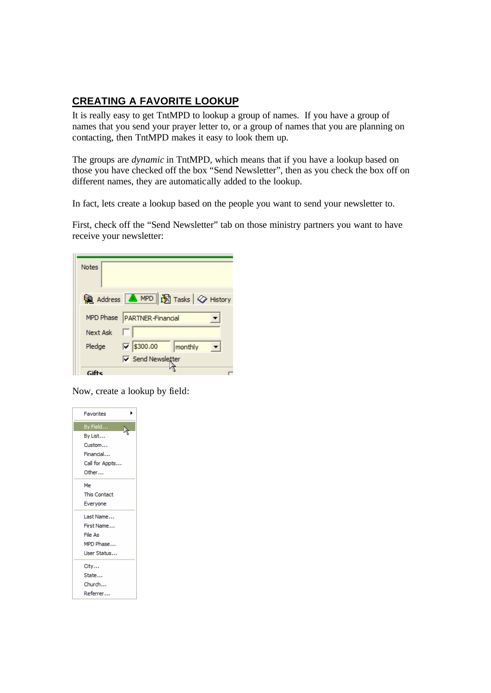## **CREATING A FAVORITE LOOKUP**

It is really easy to get TntMPD to lookup a group of names. If you have a group of names that you send your prayer letter to, or a group of names that you are planning on contacting, then TntMPD makes it easy to look them up.

The groups are *dynamic* in TntMPD, which means that if you have a lookup based on those you have checked off the box "Send Newsletter", then as you check the box off on different names, they are automatically added to the lookup.

In fact, lets create a lookup based on the people you want to send your newsletter to.

First, check off the "Send Newsletter" tab on those ministry partners you want to have receive your newsletter:

| <b>Notes</b>    |                                                       |
|-----------------|-------------------------------------------------------|
|                 | Address <b>A</b> MPD <b>B</b> Tasks $\oslash$ History |
|                 | MPD Phase   PARTNER-Financial                         |
| <b>Next Ask</b> |                                                       |
| Pledge          | \$300.00<br>⊽.<br>monthly                             |
|                 | <b>▽</b> Send Newsletter                              |
|                 |                                                       |

Now, create a lookup by field:

| <b>Favorites</b>    |
|---------------------|
| By Field            |
| By List             |
| Custom              |
| Financial           |
| Call for Appts      |
| Other               |
| Me                  |
| <b>This Contact</b> |
| Everyone            |
| Last Name           |
| First Name          |
| File As             |
| MPD Phase           |
| User Status         |
| City                |
| State               |
| Church              |
| Referrer            |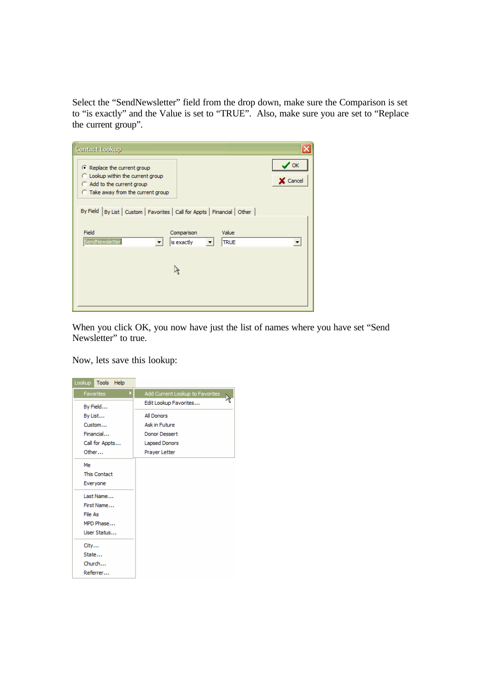Select the "SendNewsletter" field from the drop down, make sure the Comparison is set to "is exactly" and the Value is set to "TRUE". Also, make sure you are set to "Replace the current group".

| <b>Contact Lookup</b>                                                                                                                          |                       |
|------------------------------------------------------------------------------------------------------------------------------------------------|-----------------------|
| C Replace the current group<br>$\cap$ Lookup within the current group<br>$\cap$ Add to the current group<br>C Take away from the current group | $\vee$ ok<br>X Cancel |
| By Field   By List   Custom   Favorites   Call for Appts   Financial   Other                                                                   |                       |
| Field<br>Comparison<br>Value<br>SendNewsletter<br>is exactly<br><b>TRUE</b>                                                                    | $\blacktriangledown$  |
|                                                                                                                                                |                       |
|                                                                                                                                                |                       |
|                                                                                                                                                |                       |

When you click OK, you now have just the list of names where you have set "Send Newsletter" to true.

Now, lets save this lookup:

| Lookup<br>Tools Help |                                 |
|----------------------|---------------------------------|
| Favorites            | Add Current Lookup to Favorites |
| By Field             | Edit Lookup Favorites           |
| By List              | All Donors                      |
| Custom               | <b>Ask in Future</b>            |
| Financial            | Donor Dessert                   |
| Call for Appts       | <b>Lapsed Donors</b>            |
| Other                | Prayer Letter                   |
| Me                   |                                 |
| <b>This Contact</b>  |                                 |
| Everyone             |                                 |
| Last Name            |                                 |
| First Name           |                                 |
| File As              |                                 |
| MPD Phase            |                                 |
| User Status          |                                 |
| City                 |                                 |
| State                |                                 |
| Church               |                                 |
| Referrer             |                                 |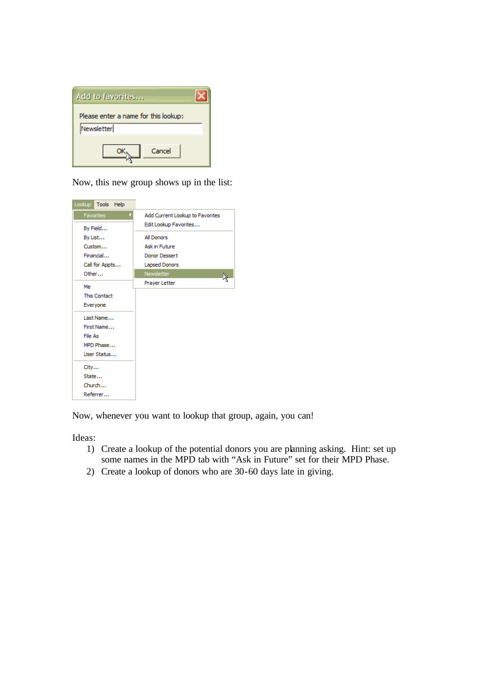| Add to favorites                     |
|--------------------------------------|
| Please enter a name for this lookup: |
| Newsletter                           |
| Cancel                               |

Now, this new group shows up in the list:

| Lookup<br>Tools Help          |                                                          |
|-------------------------------|----------------------------------------------------------|
| Þ<br>Favorites                | Add Current Lookup to Favorites<br>Edit Lookup Favorites |
| By Field<br>By List<br>Custom | <b>All Donors</b><br>Ask in Future                       |
| Financial                     | Donor Dessert                                            |
| Call for Appts                | Lapsed Donors                                            |
| Other                         | Newsletter                                               |
| Me                            | Prayer Letter                                            |
| <b>This Contact</b>           |                                                          |
| Everyone                      |                                                          |
| Last Name                     |                                                          |
| First Name                    |                                                          |
| File As                       |                                                          |
| MPD Phase                     |                                                          |
| User Status                   |                                                          |
| City                          |                                                          |
| State                         |                                                          |
| Church                        |                                                          |
| Referrer                      |                                                          |

Now, whenever you want to lookup that group, again, you can!

Ideas:

- 1) Create a lookup of the potential donors you are planning asking. Hint: set up some names in the MPD tab with "Ask in Future" set for their MPD Phase.
- 2) Create a lookup of donors who are 30-60 days late in giving.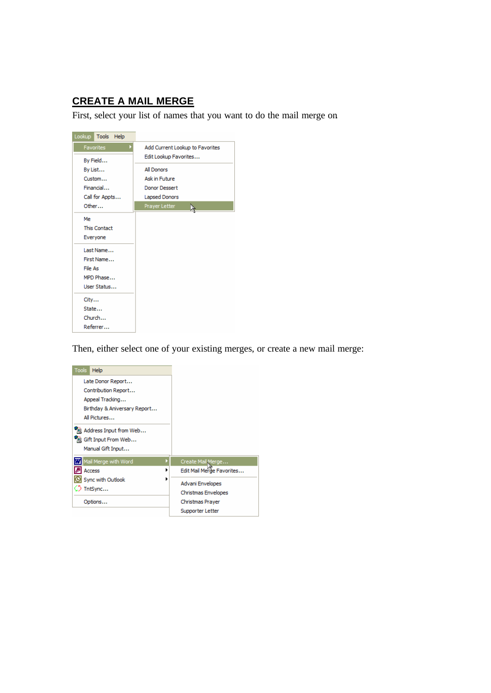# **CREATE A MAIL MERGE**

First, select your list of names that you want to do the mail merge on.

| Lookup<br>Tools Help |                                 |
|----------------------|---------------------------------|
| Favorites<br>D       | Add Current Lookup to Favorites |
| By Field             | Edit Lookup Favorites           |
| By List              | All Donors                      |
| Custom               | <b>Ask in Future</b>            |
| Financial            | <b>Donor Dessert</b>            |
| Call for Appts       | Lapsed Donors                   |
| Other                | Prayer Letter                   |
| Me                   |                                 |
| <b>This Contact</b>  |                                 |
| Everyone             |                                 |
| Last Name            |                                 |
| First Name           |                                 |
| File As              |                                 |
| MPD Phase            |                                 |
| User Status          |                                 |
| City                 |                                 |
| State                |                                 |
| Church               |                                 |
| Referrer             |                                 |

Then, either select one of your existing merges, or create a new mail merge:

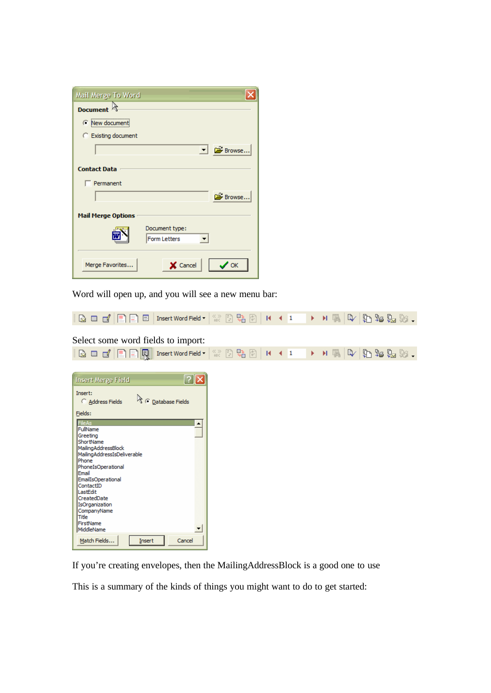| Mail Merge To Word        |                                |                            |
|---------------------------|--------------------------------|----------------------------|
| <b>Document</b>           |                                |                            |
| Rew document              |                                |                            |
| C Existing document       |                                |                            |
|                           |                                | $\Box$ $\mathbb{B}$ Browse |
| <b>Contact Data</b>       |                                |                            |
| Permanent                 |                                |                            |
|                           |                                | Browse                     |
| <b>Mail Merge Options</b> |                                |                            |
|                           | Document type:<br>Form Letters |                            |
| Merge Favorites           | X Cancel                       | OK                         |

Word will open up, and you will see a new menu bar:

 $\boxed{\boxtimes\hspace{1mm} \blacksquare\hspace{1mm} \blacksquare' \hspace{1mm} \blacksquare\hspace{1mm} \blacksquare}} \ \boxed{\boxtimes\hspace{1mm} \blacksquare\hspace{1mm} \blacksquare\hspace{1mm} \blacksquare\hspace{1mm} \blacksquare\hspace{1mm} \blacksquare\hspace{1mm} \blacksquare\hspace{1mm} \blacksquare\hspace{1mm} \blacksquare\hspace{1mm} \blacksquare\hspace{1mm} \blacksquare\hspace{1mm} \blacksquare\hspace{1mm} \blacksquare\hspace{1mm} \blacksquare\hspace{1mm} \blacksquare\hspace{1mm} \bl$  $\underset{\text{ABC}}{\otimes}$   $\frac{1}{2}$   $\underset{\text{AB}}{\bigoplus}$   $\frac{1}{2}$   $\bigoplus$   $\bigoplus$   $\bigoplus$   $\bigoplus$   $\bigoplus$   $\bigoplus$   $\bigoplus$   $\bigoplus$   $\bigoplus$   $\bigoplus$   $\bigoplus$   $\bigoplus$   $\bigoplus$   $\bigoplus$   $\bigoplus$   $\bigoplus$   $\bigoplus$   $\bigoplus$   $\bigoplus$   $\bigoplus$   $\bigoplus$   $\bigoplus$   $\bigoplus$   $\bigoplus$   $\$ 

#### Select some word fields to import:

| B = 2 E E R<br>Insert Word Field -                                                                                                                                                                                                                                                                                                                                                                                 | $\Box$ $\frac{\mathbb{R}_{0}}{2}$ $\boxed{0}$ $\boxed{11}$ $\boxed{4}$ $\boxed{1}$<br>$\underset{\text{BBC}}{\text{X}}$ |  | $\rightarrow$ $\rightarrow$ $\mathbb{R}$ of $\rightarrow$ $\mathbb{R}$ of $\rightarrow$ |
|--------------------------------------------------------------------------------------------------------------------------------------------------------------------------------------------------------------------------------------------------------------------------------------------------------------------------------------------------------------------------------------------------------------------|-------------------------------------------------------------------------------------------------------------------------|--|-----------------------------------------------------------------------------------------|
| $\boxed{?} \boxed{\mathsf{X}}$<br><b>Insert Merge Field</b><br>Insert:<br>C Database Fields<br>Address Fields<br>Fields:<br>FileAs<br>▲<br>FullName<br>Greeting<br>ShortName<br>MailingAddressBlock<br>MailingAddressIsDeliverable<br>Phone<br>PhoneIsOperational<br>Email<br>EmailIsOperational<br>ContactID<br>LastEdit<br>CreatedDate<br>IsOrganization<br>CompanyName<br>Title<br>FirstName<br>MiddleName<br>▼ |                                                                                                                         |  |                                                                                         |
| Match Fields<br>Cancel<br>Insert                                                                                                                                                                                                                                                                                                                                                                                   |                                                                                                                         |  |                                                                                         |

If you're creating envelopes, then the MailingAddressBlock is a good one to use

This is a summary of the kinds of things you might want to do to get started: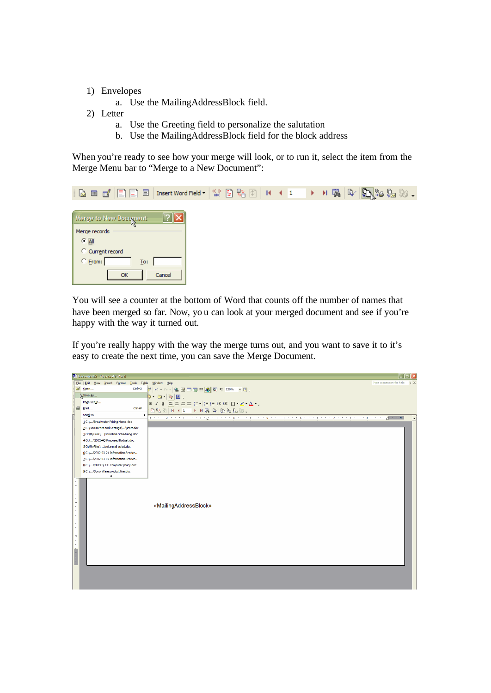- 1) Envelopes
	- a. Use the MailingAddressBlock field.
- 2) Letter
	- a. Use the Greeting field to personalize the salutation
	- b. Use the MailingAddressBlock field for the block address

When you're ready to see how your merge will look, or to run it, select the item from the Merge Menu bar to "Merge to a New Document":

| <b>Bedel</b><br>Insert Word Field |  | $\mathbb{R} \times \mathbb{R}^{3} \times \mathbb{R}$ |
|-----------------------------------|--|------------------------------------------------------|
|                                   |  |                                                      |
| Merge to New Document             |  |                                                      |
| Merge records                     |  |                                                      |
| $\subseteq$ $\overline{\Delta}$   |  |                                                      |
| C Current record                  |  |                                                      |
| C From:<br>To:                    |  |                                                      |
| Cancel<br>OK                      |  |                                                      |

You will see a counter at the bottom of Word that counts off the number of names that have been merged so far. Now, yo u can look at your merged document and see if you're happy with the way it turned out.

If you're really happy with the way the merge turns out, and you want to save it to it's easy to create the next time, you can save the Merge Document.

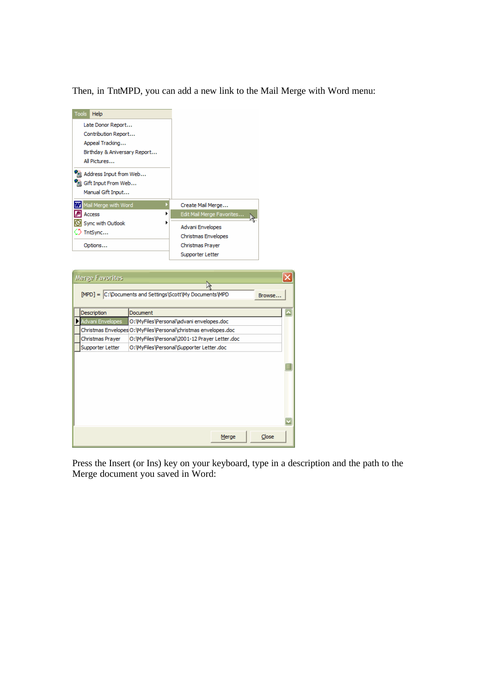Then, in TntMPD, you can add a new link to the Mail Merge with Word menu:



Christmas Envelopes O: WyFiles \Personal \christmas envelopes.doc

O:\MyFiles\Personal\2001-12 Prayer Letter.doc O:\MyFiles\Personal\Supporter Letter.doc

|<br>|Christmas Prayer

Supporter Letter

Merge  $C$ lose Press the Insert (or Ins) key on your keyboard, type in a description and the path to the

Merge document you saved in Word:

 $\overline{\mathbf{x}}$ 

 $\overline{\phantom{a}}$ 

盲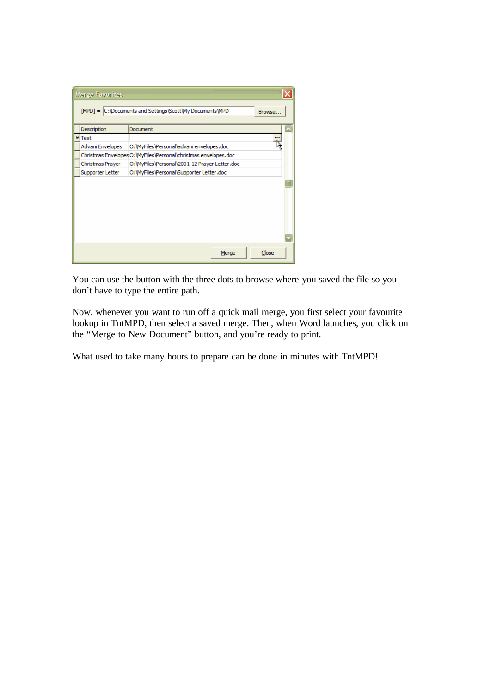| Merge Favorites  |                                                                    |  |
|------------------|--------------------------------------------------------------------|--|
|                  | [MPD] = C:\Documents and Settings\Scott\My Documents\MPD<br>Browse |  |
| Description      | Document                                                           |  |
| *Test            |                                                                    |  |
| Advani Envelopes | O: WyFiles \Personal\advani envelopes.doc                          |  |
|                  | Christmas Envelopes O: WyFiles \Personal\christmas envelopes.doc   |  |
| Christmas Prayer | O:\MyFiles\Personal\2001-12 Prayer Letter.doc                      |  |
| Supporter Letter | O:\MyFiles\Personal\Supporter Letter.doc                           |  |
|                  |                                                                    |  |
|                  |                                                                    |  |
|                  |                                                                    |  |
|                  |                                                                    |  |
|                  |                                                                    |  |
|                  |                                                                    |  |
|                  |                                                                    |  |
|                  |                                                                    |  |
|                  | Close<br>Merge                                                     |  |

You can use the button with the three dots to browse where you saved the file so you don't have to type the entire path.

Now, whenever you want to run off a quick mail merge, you first select your favourite lookup in TntMPD, then select a saved merge. Then, when Word launches, you click on the "Merge to New Document" button, and you're ready to print.

What used to take many hours to prepare can be done in minutes with TntMPD!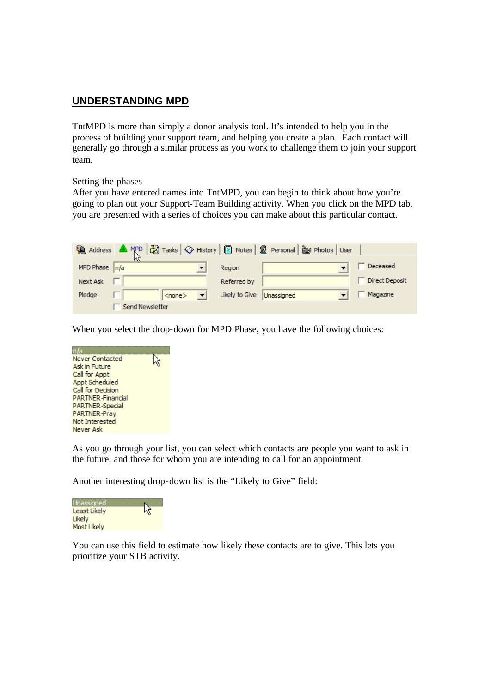### **UNDERSTANDING MPD**

TntMPD is more than simply a donor analysis tool. It's intended to help you in the process of building your support team, and helping you create a plan. Each contact will generally go through a similar process as you work to challenge them to join your support team.

Setting the phases

After you have entered names into TntMPD, you can begin to think about how you're going to plan out your Support-Team Building activity. When you click on the MPD tab, you are presented with a series of choices you can make about this particular contact.

| R Address ▲ MPD   图 Tasks   ◇ History   ■ Notes   ② Personal   @ Photos   User |                             |                |
|--------------------------------------------------------------------------------|-----------------------------|----------------|
| MPD Phase $n/a$                                                                | Region                      | Deceased       |
| Next Ask                                                                       | Referred by                 | Direct Deposit |
| Pledge<br>$<$ none $>$                                                         | Likely to Give   Unassigned | Magazine       |
| Send Newsletter                                                                |                             |                |

When you select the drop-down for MPD Phase, you have the following choices:



As you go through your list, you can select which contacts are people you want to ask in the future, and those for whom you are intending to call for an appointment.

Another interesting drop-down list is the "Likely to Give" field:



You can use this field to estimate how likely these contacts are to give. This lets you prioritize your STB activity.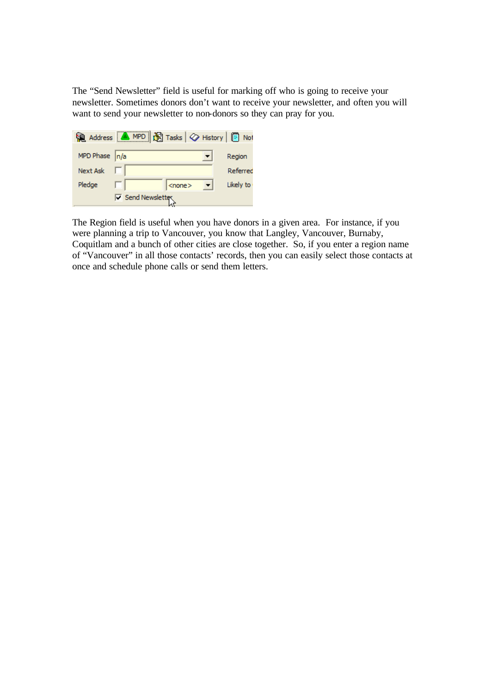The "Send Newsletter" field is useful for marking off who is going to receive your newsletter. Sometimes donors don't want to receive your newsletter, and often you will want to send your newsletter to non-donors so they can pray for you.

|                  | Address <b>A</b> MPD <b>S</b> Tasks $\bigotimes$ History <b>B</b> Not |              |           |
|------------------|-----------------------------------------------------------------------|--------------|-----------|
| MPD Phase $ n/a$ |                                                                       |              | Region    |
| <b>Next Ask</b>  |                                                                       |              | Referred  |
| Pledge           |                                                                       | $<$ none $>$ | Likely to |
|                  | <b>□ Send Newsletter</b>                                              |              |           |

The Region field is useful when you have donors in a given area. For instance, if you were planning a trip to Vancouver, you know that Langley, Vancouver, Burnaby, Coquitlam and a bunch of other cities are close together. So, if you enter a region name of "Vancouver" in all those contacts' records, then you can easily select those contacts at once and schedule phone calls or send them letters.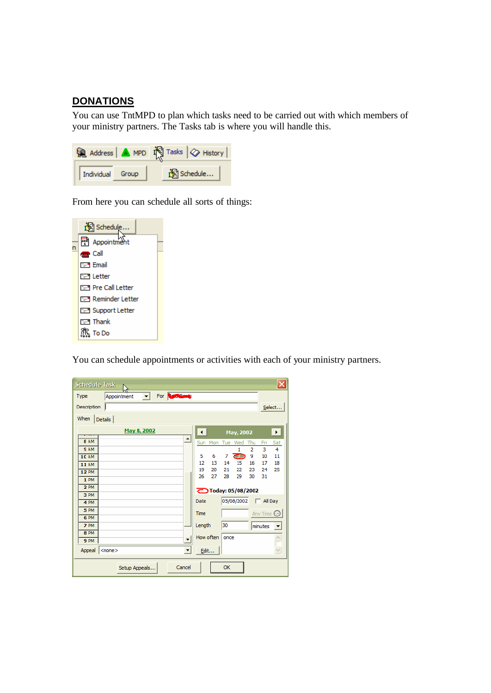### **DONATIONS**

You can use TntMPD to plan which tasks need to be carried out with which members of your ministry partners. The Tasks tab is where you will handle this.



From here you can schedule all sorts of things:



You can schedule appointments or activities with each of your ministry partners.

| <b>Schedule Task</b> |                             |                      |                      |                        |    |      |                           |                |                | $\overline{\mathsf{x}}$ |
|----------------------|-----------------------------|----------------------|----------------------|------------------------|----|------|---------------------------|----------------|----------------|-------------------------|
| <b>Type</b>          | Appointment<br>$\mathbf{v}$ | For <b>Rundleway</b> |                      |                        |    |      |                           |                |                |                         |
| Description          |                             |                      |                      |                        |    |      |                           |                |                | Select                  |
| When<br>Details      |                             |                      |                      |                        |    |      |                           |                |                |                         |
|                      | May 8, 2002                 |                      |                      | $\left  \cdot \right $ |    |      | May, 2002                 |                |                | $\blacktriangleright$   |
| 8 AM                 |                             |                      | ∸∣                   | Sun                    |    |      | Mon Tue Wed               | Thu            | Fri            | Sat                     |
| <b>SAM</b>           |                             |                      |                      |                        |    |      | $\mathbf{1}$              | $\overline{a}$ | 3              | 4                       |
| <b>10 AM</b>         |                             |                      |                      | 5                      | 6  | 7    | ਨਾ                        | 9              | 10             | 11                      |
| <b>11 AM</b>         |                             |                      |                      | 12                     | 13 | 14   | 15                        | 16             | 17             | 18                      |
| <b>12 PM</b>         |                             |                      |                      | 19                     | 20 | 21   | 22                        | 23             | 24             | 25                      |
| 1 PM                 |                             |                      |                      | 26                     | 27 | 28   | 29                        | 30             | 31             |                         |
| 2PM                  |                             |                      |                      |                        |    |      |                           |                |                |                         |
| 3 PM                 |                             |                      |                      |                        |    |      | <b>OToday: 05/08/2002</b> |                |                |                         |
| 4 PM                 |                             |                      |                      | Date                   |    |      | 05/08/2002                |                | $\Box$ All Day |                         |
| 5 PM                 |                             |                      |                      | <b>Time</b>            |    |      |                           |                |                |                         |
| 6 PM                 |                             |                      |                      |                        |    |      |                           |                | Any Time       |                         |
| 7 PM                 |                             |                      |                      | Length                 |    | 30   |                           |                | minutes        |                         |
| 8 PM                 |                             |                      |                      |                        |    |      |                           |                |                |                         |
| <b>9 PM</b>          |                             |                      | ▾╎                   | How often              |    | once |                           |                |                |                         |
| Appeal <none></none> |                             |                      | $\blacktriangledown$ | Edit                   |    |      |                           |                |                | $\vee$                  |
|                      | Setup Appeals               | Cancel               |                      |                        |    | ОК   |                           |                |                |                         |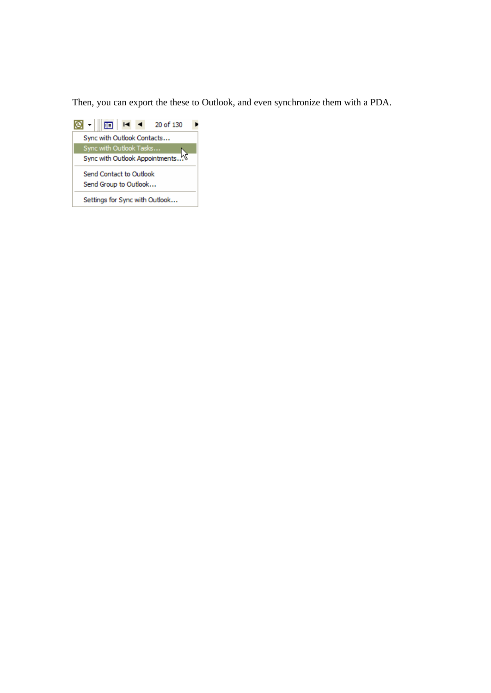Then, you can export the these to Outlook, and even synchronize them with a PDA.

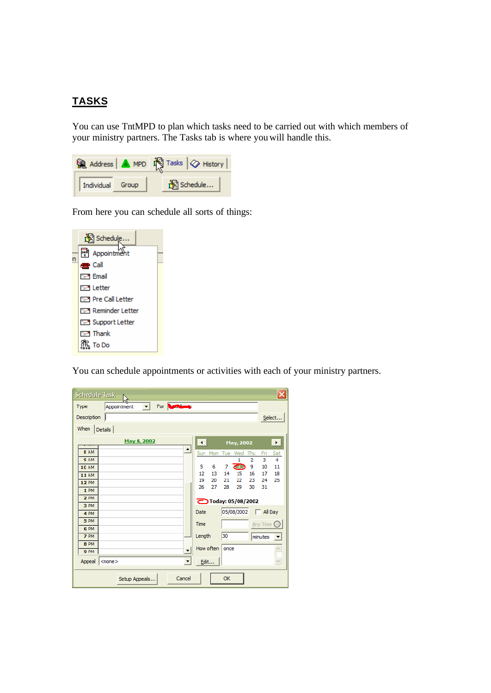## **TASKS**

You can use TntMPD to plan which tasks need to be carried out with which members of your ministry partners. The Tasks tab is where you will handle this.



From here you can schedule all sorts of things:

| Schedule                  |  |
|---------------------------|--|
| 凾<br>Appointmen           |  |
| dan Call                  |  |
| <b>F-M Email</b>          |  |
| िन् Letter                |  |
| िम Pre Call Letter        |  |
| िन्न Reminder Letter      |  |
| <b>E-9</b> Support Letter |  |
| । सम्बाहित समित           |  |
| To Do                     |  |

You can schedule appointments or activities with each of your ministry partners.

| <b>Schedule Task:</b> |                   |               |             |                     |        |                      |                        |     |      |                           |                |                  |              |
|-----------------------|-------------------|---------------|-------------|---------------------|--------|----------------------|------------------------|-----|------|---------------------------|----------------|------------------|--------------|
| Type                  |                   | Appointment   | $\vert$     | For <b>Continue</b> |        |                      |                        |     |      |                           |                |                  |              |
| Description           |                   |               |             |                     |        |                      |                        |     |      |                           |                |                  | Select       |
| When                  | Details           |               |             |                     |        |                      |                        |     |      |                           |                |                  |              |
|                       |                   |               | May 8, 2002 |                     |        |                      | $\left  \cdot \right $ |     |      | May, 2002                 |                |                  | $\mathbf{E}$ |
| 8 AM                  |                   |               |             |                     |        | ∸∣                   | Sun                    | Mon |      | Tue Wed Thu               |                | Fri              | Sat          |
| <b>SAM</b>            |                   |               |             |                     |        |                      |                        |     |      | $\mathbf{1}$              | $\overline{2}$ | 3                | 4            |
| <b>10 AM</b>          |                   |               |             |                     |        |                      | 5                      | 6   | 7    | దా                        | 9              | 10               | 11           |
| <b>11 AM</b>          |                   |               |             |                     |        |                      | 12                     | 13  | 14   | 15                        | 16             | 17               | 18           |
| <b>12 PM</b>          |                   |               |             |                     |        |                      | 19                     | 20  | 21   | 22                        | 23             | 24               | 25           |
| 1 PM                  |                   |               |             |                     |        |                      | 26                     | 27  | 28   | 29                        | 30             | 31               |              |
| <b>2 PM</b>           |                   |               |             |                     |        |                      |                        |     |      |                           |                |                  |              |
| 3 PM                  |                   |               |             |                     |        |                      |                        |     |      | <b>乙Today: 05/08/2002</b> |                |                  |              |
| 4 PM                  |                   |               |             |                     |        |                      | Date                   |     |      | 05/08/2002                |                | $\Box$ All Day   |              |
| 5 PM                  |                   |               |             |                     |        |                      | Time                   |     |      |                           |                |                  |              |
| 6 PM                  |                   |               |             |                     |        |                      |                        |     |      |                           |                | Any Time $\odot$ |              |
| 7 PM                  |                   |               |             |                     |        |                      | Length                 |     | 30   |                           |                | minutes          |              |
| 8 PM                  |                   |               |             |                     |        |                      |                        |     |      |                           |                |                  |              |
| 9 PM                  |                   |               |             |                     |        | $\blacktriangledown$ | How often              |     | once |                           |                |                  |              |
| Appeal                | $ $ <none></none> |               |             |                     |        | $\blacktriangledown$ | Edit                   |     |      |                           |                |                  | Ÿ,           |
|                       |                   | Setup Appeals |             |                     | Cancel |                      |                        |     | OK   |                           |                |                  |              |